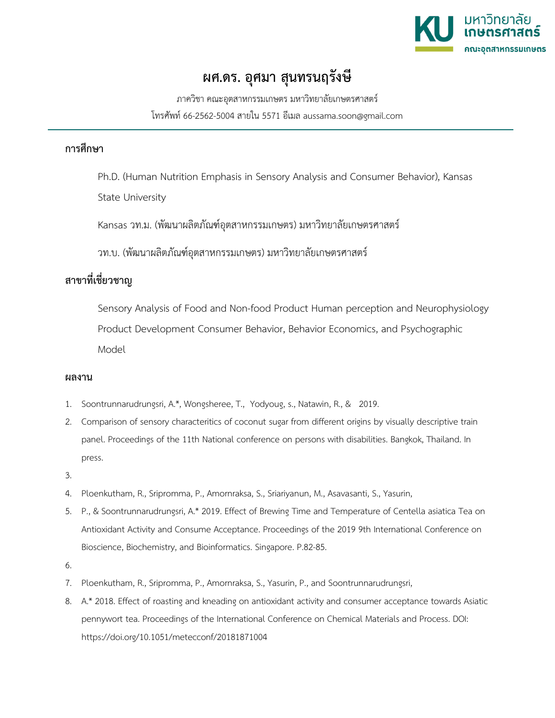

## **ผศ.ดร. อุศมา สุนทรนฤรังษี**

ภาควิชา คณะอุตสาหกรรมเกษตร มหาวิทยาลัยเกษตรศาสตร โทรศัพท 66-2562-5004 สายใน 5571 อีเมล aussama.soon@gmail.com

## **การศึกษา**

Ph.D. (Human Nutrition Emphasis in Sensory Analysis and Consumer Behavior), Kansas State University

Kansas วท.ม. (พัฒนาผลิตภัณฑอุตสาหกรรมเกษตร) มหาวิทยาลัยเกษตรศาสตร

วท.บ. (พัฒนาผลิตภัณฑอุตสาหกรรมเกษตร) มหาวิทยาลัยเกษตรศาสตร

## **สาขาที่เชี่ยวชาญ**

Sensory Analysis of Food and Non-food Product Human perception and Neurophysiology Product Development Consumer Behavior, Behavior Economics, and Psychographic Model

## **ผลงาน**

- 1. Soontrunnarudrungsri, A.\*, Wongsheree, T., Yodyoug, s., Natawin, R., & 2019.
- 2. Comparison of sensory characteritics of coconut sugar from different origins by visually descriptive train panel. Proceedings of the 11th National conference on persons with disabilities. Bangkok, Thailand. In press.
- 3.
- 4. Ploenkutham, R., Sripromma, P., Amornraksa, S., Sriariyanun, M., Asavasanti, S., Yasurin,
- 5. P., & Soontrunnarudrungsri, A.\* 2019. Effect of Brewing Time and Temperature of Centella asiatica Tea on Antioxidant Activity and Consume Acceptance. Proceedings of the 2019 9th International Conference on Bioscience, Biochemistry, and Bioinformatics. Singapore. P.82-85.
- 6.
- 7. Ploenkutham, R., Sripromma, P., Amornraksa, S., Yasurin, P., and Soontrunnarudrungsri,
- 8. A.\* 2018. Effect of roasting and kneading on antioxidant activity and consumer acceptance towards Asiatic pennywort tea. Proceedings of the International Conference on Chemical Materials and Process. DOI: https://doi.org/10.1051/metecconf/20181871004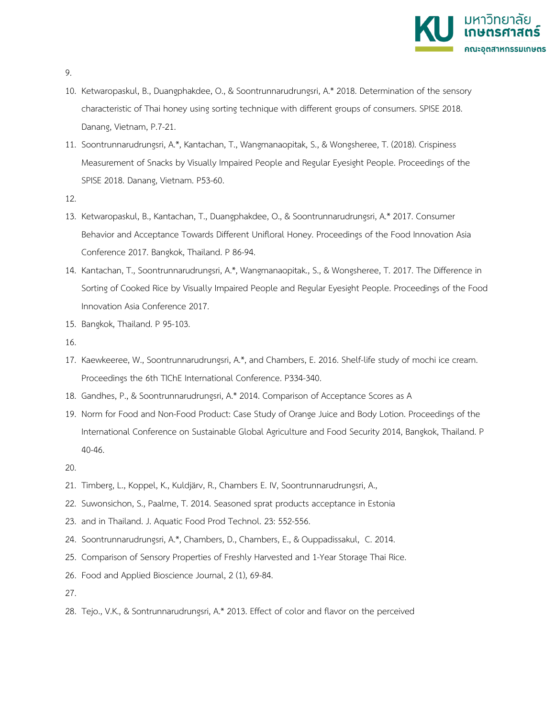

- 9.
- 10. Ketwaropaskul, B., Duangphakdee, O., & Soontrunnarudrungsri, A.\* 2018. Determination of the sensory characteristic of Thai honey using sorting technique with different groups of consumers. SPISE 2018. Danang, Vietnam, P.7-21.
- 11. Soontrunnarudrungsri, A.\*, Kantachan, T., Wangmanaopitak, S., & Wongsheree, T. (2018). Crispiness Measurement of Snacks by Visually Impaired People and Regular Eyesight People. Proceedings of the SPISE 2018. Danang, Vietnam. P53-60.
- 12.
- 13. Ketwaropaskul, B., Kantachan, T., Duangphakdee, O., & Soontrunnarudrungsri, A.\* 2017. Consumer Behavior and Acceptance Towards Different Unifloral Honey. Proceedings of the Food Innovation Asia Conference 2017. Bangkok, Thailand. P 86-94.
- 14. Kantachan, T., Soontrunnarudrungsri, A.\*, Wangmanaopitak., S., & Wongsheree, T. 2017. The Difference in Sorting of Cooked Rice by Visually Impaired People and Regular Eyesight People. Proceedings of the Food Innovation Asia Conference 2017.
- 15. Bangkok, Thailand. P 95-103.
- 16.
- 17. Kaewkeeree, W., Soontrunnarudrungsri, A.\*, and Chambers, E. 2016. Shelf-life study of mochi ice cream. Proceedings the 6th TIChE International Conference. P334-340.
- 18. Gandhes, P., & Soontrunnarudrungsri, A.\* 2014. Comparison of Acceptance Scores as A
- 19. Norm for Food and Non-Food Product: Case Study of Orange Juice and Body Lotion. Proceedings of the International Conference on Sustainable Global Agriculture and Food Security 2014, Bangkok, Thailand. P 40-46.
- 20.
- 21. Timberg, L., Koppel, K., Kuldjärv, R., Chambers E. IV, Soontrunnarudrungsri, A.,
- 22. Suwonsichon, S., Paalme, T. 2014. Seasoned sprat products acceptance in Estonia
- 23. and in Thailand. J. Aquatic Food Prod Technol. 23: 552-556.
- 24. Soontrunnarudrungsri, A.\*, Chambers, D., Chambers, E., & Ouppadissakul, C. 2014.
- 25. Comparison of Sensory Properties of Freshly Harvested and 1-Year Storage Thai Rice.
- 26. Food and Applied Bioscience Journal, 2 (1), 69-84.
- 27.
- 28. Tejo., V.K., & Sontrunnarudrungsri, A.\* 2013. Effect of color and flavor on the perceived